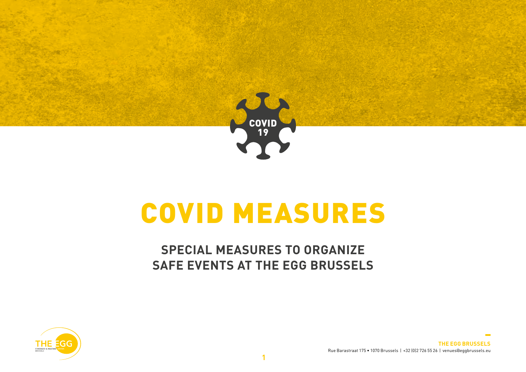

# COVID MEASURES

## **SPECIAL MEASURES TO ORGANIZE SAFE EVENTS AT THE EGG BRUSSELS**



**THE EGG BRUSSELS** Rue Barastraat 175 • 1070 Brussels | +32 (0)2 726 55 26 | venues@eggbrussels.eu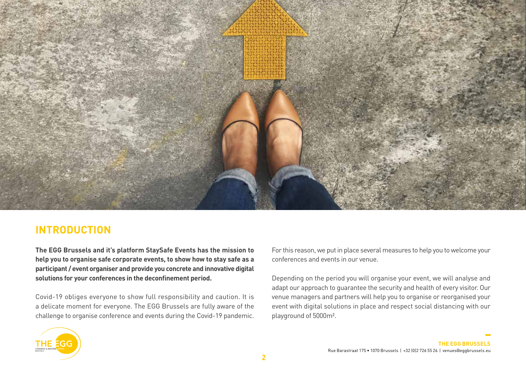

### **INTRODUCTION**

**The EGG Brussels and it's platform StaySafe Events has the mission to help you to organise safe corporate events, to show how to stay safe as a participant / event organiser and provide you concrete and innovative digital solutions for your conferences in the deconfinement period.**

Covid-19 obliges everyone to show full responsibility and caution. It is a delicate moment for everyone. The EGG Brussels are fully aware of the challenge to organise conference and events during the Covid-19 pandemic. For this reason, we put in place several measures to help you to welcome your conferences and events in our venue.

Depending on the period you will organise your event, we will analyse and adapt our approach to guarantee the security and health of every visitor. Our venue managers and partners will help you to organise or reorganised your event with digital solutions in place and respect social distancing with our playground of 5000m².

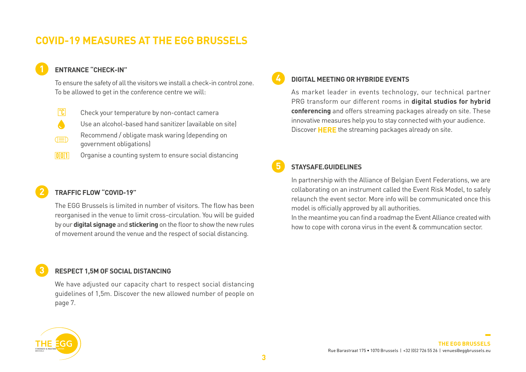## **COVID-19 MEASURES AT THE EGG BRUSSELS**

#### **1 ENTRANCE "CHECK-IN"**

To ensure the safety of all the visitors we install a check-in control zone. To be allowed to get in the conference centre we will:

- $\sqrt{C}$ Check your temperature by non-contact camera
- Use an alcohol-based hand sanitizer (available on site)
- Recommend / obligate mask waring (depending on (三) government obligations)
- $\sqrt{0011}$ Organise a counting system to ensure social distancing

#### **2 TRAFFIC FLOW "COVID-19"**

 The EGG Brussels is limited in number of visitors. The flow has been reorganised in the venue to limit cross-circulation. You will be guided by our **digital signage** and **stickering** on the floor to show the new rules of movement around the venue and the respect of social distancing.

#### **3 RESPECT 1,5M OF SOCIAL DISTANCING**

 We have adjusted our capacity chart to respect social distancing guidelines of 1,5m. Discover the new allowed number of people on page 7.

#### **4 DIGITAL MEETING OR HYBRIDE EVENTS**

 As market leader in events technology, our technical partner PRG transform our different rooms in **digital studios for hybrid conferencing** and offers streaming packages already on site. These innovative measures help you to stay connected with your audience. Discover **HERE** the streaming packages already on site.

#### **5 STAYSAFE.GUIDELINES**

 In partnership with the Alliance of Belgian Event Federations, we are collaborating on an instrument called the Event Risk Model, to safely relaunch the event sector. More info will be communicated once this model is officially approved by all authorities.

 In the meantime you can find a roadmap the Event Alliance created with how to cope with corona virus in the event & communcation sector.

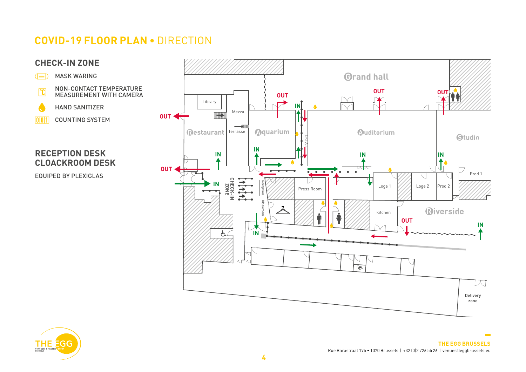## **COVID-19 FLOOR PLAN •** DIRECTION





 $\overline{a}$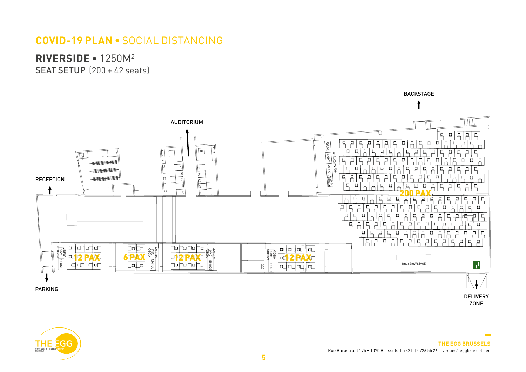## **COVID-19 PLAN •** SOCIAL DISTANCING

**RIVERSIDE •** 1250M2

SEAT SETUP (200 + 42 seats)



**COLLECTION**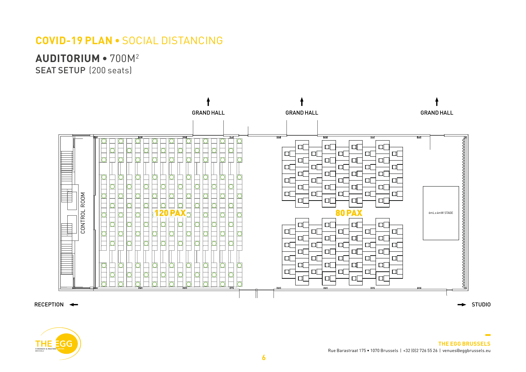## **COVID-19 PLAN •** SOCIAL DISTANCING

**AUDITORIUM •** 700M2

SEAT SETUP (200 seats)





**THE EGG BRUSSELS** Rue Barastraat 175 • 1070 Brussels | +32 (0)2 726 55 26 | venues@eggbrussels.eu